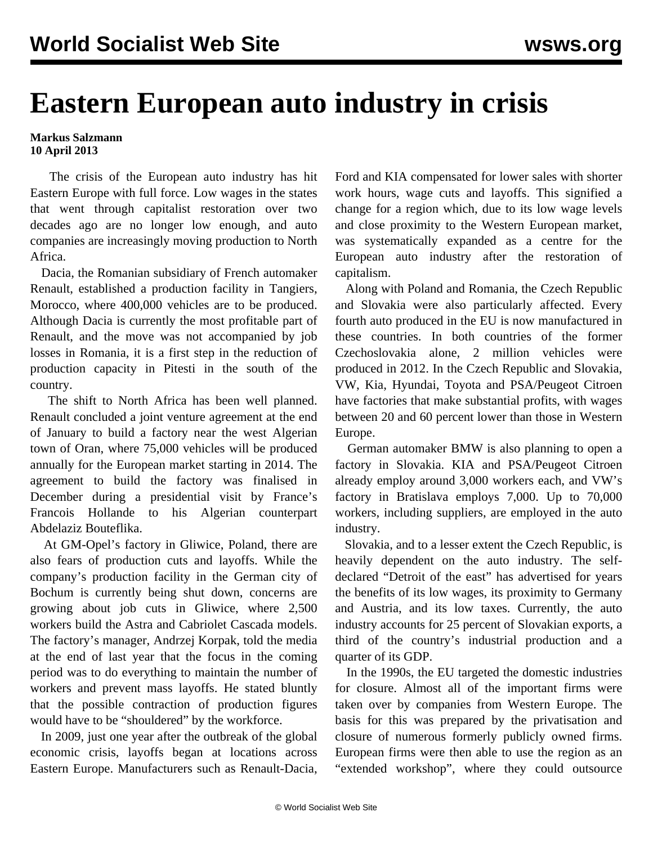## **Eastern European auto industry in crisis**

## **Markus Salzmann 10 April 2013**

 The crisis of the European auto industry has hit Eastern Europe with full force. Low wages in the states that went through capitalist restoration over two decades ago are no longer low enough, and auto companies are increasingly moving production to North Africa.

 Dacia, the Romanian subsidiary of French automaker Renault, established a production facility in Tangiers, Morocco, where 400,000 vehicles are to be produced. Although Dacia is currently the most profitable part of Renault, and the move was not accompanied by job losses in Romania, it is a first step in the reduction of production capacity in Pitesti in the south of the country.

 The shift to North Africa has been well planned. Renault concluded a joint venture agreement at the end of January to build a factory near the west Algerian town of Oran, where 75,000 vehicles will be produced annually for the European market starting in 2014. The agreement to build the factory was finalised in December during a presidential visit by France's Francois Hollande to his Algerian counterpart Abdelaziz Bouteflika.

 At GM-Opel's factory in Gliwice, Poland, there are also fears of production cuts and layoffs. While the company's production facility in the German city of Bochum is currently being shut down, concerns are growing about job cuts in Gliwice, where 2,500 workers build the Astra and Cabriolet Cascada models. The factory's manager, Andrzej Korpak, told the media at the end of last year that the focus in the coming period was to do everything to maintain the number of workers and prevent mass layoffs. He stated bluntly that the possible contraction of production figures would have to be "shouldered" by the workforce.

 In 2009, just one year after the outbreak of the global economic crisis, layoffs began at locations across Eastern Europe. Manufacturers such as Renault-Dacia,

Ford and KIA compensated for lower sales with shorter work hours, wage cuts and layoffs. This signified a change for a region which, due to its low wage levels and close proximity to the Western European market, was systematically expanded as a centre for the European auto industry after the restoration of capitalism.

 Along with Poland and Romania, the Czech Republic and Slovakia were also particularly affected. Every fourth auto produced in the EU is now manufactured in these countries. In both countries of the former Czechoslovakia alone, 2 million vehicles were produced in 2012. In the Czech Republic and Slovakia, VW, Kia, Hyundai, Toyota and PSA/Peugeot Citroen have factories that make substantial profits, with wages between 20 and 60 percent lower than those in Western Europe.

 German automaker BMW is also planning to open a factory in Slovakia. KIA and PSA/Peugeot Citroen already employ around 3,000 workers each, and VW's factory in Bratislava employs 7,000. Up to 70,000 workers, including suppliers, are employed in the auto industry.

 Slovakia, and to a lesser extent the Czech Republic, is heavily dependent on the auto industry. The selfdeclared "Detroit of the east" has advertised for years the benefits of its low wages, its proximity to Germany and Austria, and its low taxes. Currently, the auto industry accounts for 25 percent of Slovakian exports, a third of the country's industrial production and a quarter of its GDP.

 In the 1990s, the EU targeted the domestic industries for closure. Almost all of the important firms were taken over by companies from Western Europe. The basis for this was prepared by the privatisation and closure of numerous formerly publicly owned firms. European firms were then able to use the region as an "extended workshop", where they could outsource